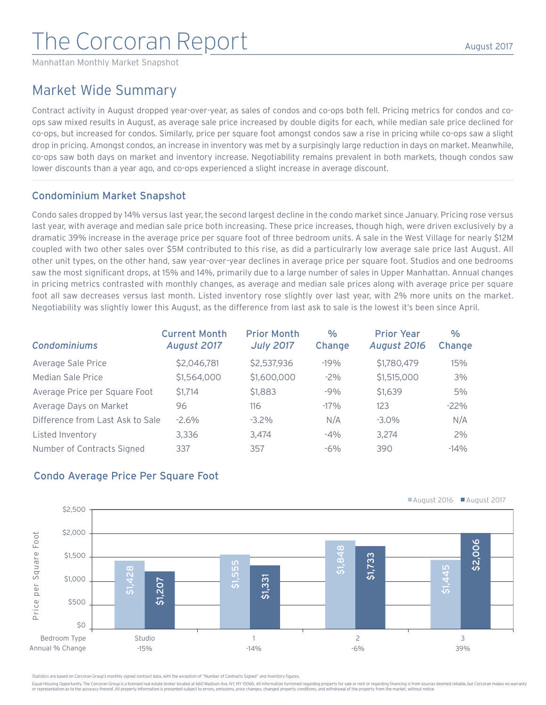# The Corcoran Report

Manhattan Monthly Market Snapshot

# Market Wide Summary

Contract activity in August dropped year-over-year, as sales of condos and co-ops both fell. Pricing metrics for condos and coops saw mixed results in August, as average sale price increased by double digits for each, while median sale price declined for co-ops, but increased for condos. Similarly, price per square foot amongst condos saw a rise in pricing while co-ops saw a slight drop in pricing. Amongst condos, an increase in inventory was met by a surpisingly large reduction in days on market. Meanwhile, co-ops saw both days on market and inventory increase. Negotiability remains prevalent in both markets, though condos saw lower discounts than a year ago, and co-ops experienced a slight increase in average discount.

### Condominium Market Snapshot

Condo sales dropped by 14% versus last year, the second largest decline in the condo market since January. Pricing rose versus last year, with average and median sale price both increasing. These price increases, though high, were driven exclusively by a dramatic 39% increase in the average price per square foot of three bedroom units. A sale in the West Village for nearly \$12M coupled with two other sales over \$5M contributed to this rise, as did a particulrarly low average sale price last August. All other unit types, on the other hand, saw year-over-year declines in average price per square foot. Studios and one bedrooms saw the most significant drops, at 15% and 14%, primarily due to a large number of sales in Upper Manhattan. Annual changes in pricing metrics contrasted with monthly changes, as average and median sale prices along with average price per square foot all saw decreases versus last month. Listed inventory rose slightly over last year, with 2% more units on the market. Negotiability was slightly lower this August, as the difference from last ask to sale is the lowest it's been since April.

| <b>Condominiums</b>              | <b>Current Month</b><br>August 2017 | <b>Prior Month</b><br><b>July 2017</b> | $\frac{0}{0}$<br>Change | <b>Prior Year</b><br><b>August 2016</b> | $\frac{0}{0}$<br>Change |
|----------------------------------|-------------------------------------|----------------------------------------|-------------------------|-----------------------------------------|-------------------------|
| Average Sale Price               | \$2,046,781                         | \$2,537,936                            | $-19%$                  | \$1,780,479                             | 15%                     |
| Median Sale Price                | \$1,564,000                         | \$1,600,000                            | $-2\%$                  | \$1,515,000                             | 3%                      |
| Average Price per Square Foot    | \$1,714                             | \$1,883                                | $-9%$                   | \$1,639                                 | 5%                      |
| Average Days on Market           | 96                                  | 116                                    | $-17%$                  | 123                                     | $-22%$                  |
| Difference from Last Ask to Sale | $-2.6%$                             | $-3.2\%$                               | N/A                     | $-3.0\%$                                | N/A                     |
| Listed Inventory                 | 3,336                               | 3.474                                  | $-4\%$                  | 3.274                                   | 2%                      |
| Number of Contracts Signed       | 337                                 | 357                                    | $-6\%$                  | 390                                     | $-14%$                  |

# Condo Average Price Per Square Foot



atistics are based on Corcoran Group's monthly signed contract data, with the exception of "Number of Contracts Signed" and Inventory figures.

Equal Housing Opportunity. The Corcoran Group is a licensed real estate broker located at 660 Madison Ave, NY, NY 10065. All information furnished regarding property for sale or rent or regarding financing is from sources or representation as to the accuracy thereof. All property information is presented subject to errors, omissions, price changes, changed property conditions, and withdrawal of the property from the market, without notice.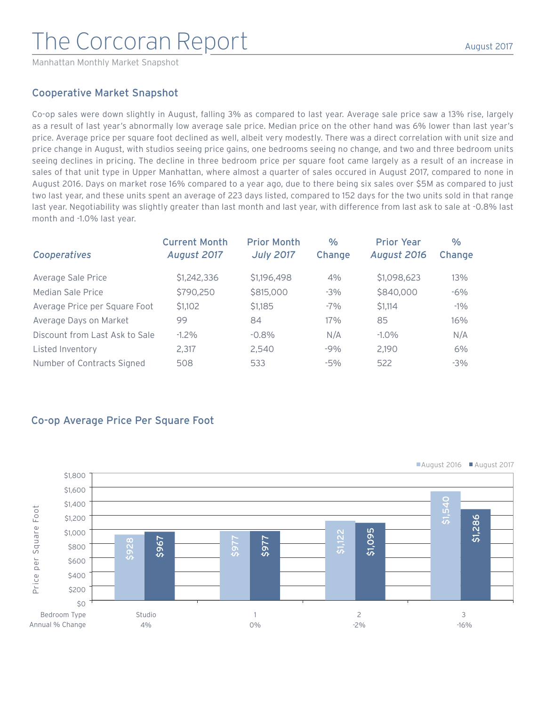# The Corcoran Report

Manhattan Monthly Market Snapshot

#### August 2017

#### Cooperative Market Snapshot

Co-op sales were down slightly in August, falling 3% as compared to last year. Average sale price saw a 13% rise, largely as a result of last year's abnormally low average sale price. Median price on the other hand was 6% lower than last year's price. Average price per square foot declined as well, albeit very modestly. There was a direct correlation with unit size and price change in August, with studios seeing price gains, one bedrooms seeing no change, and two and three bedroom units seeing declines in pricing. The decline in three bedroom price per square foot came largely as a result of an increase in sales of that unit type in Upper Manhattan, where almost a quarter of sales occured in August 2017, compared to none in August 2016. Days on market rose 16% compared to a year ago, due to there being six sales over \$5M as compared to just two last year, and these units spent an average of 223 days listed, compared to 152 days for the two units sold in that range last year. Negotiability was slightly greater than last month and last year, with difference from last ask to sale at -0.8% last month and -1.0% last year.

| Cooperatives                   | <b>Current Month</b><br>August 2017 | <b>Prior Month</b><br><b>July 2017</b> | %<br>Change | <b>Prior Year</b><br>August 2016 | $\%$<br>Change |
|--------------------------------|-------------------------------------|----------------------------------------|-------------|----------------------------------|----------------|
| Average Sale Price             | \$1,242,336                         | \$1,196,498                            | 4%          | \$1,098,623                      | 13%            |
| Median Sale Price              | \$790,250                           | \$815,000                              | $-3%$       | \$840,000                        | $-6%$          |
| Average Price per Square Foot  | \$1,102                             | \$1,185                                | $-7\%$      | \$1,114                          | $-1\%$         |
| Average Days on Market         | 99                                  | 84                                     | 17%         | 85                               | 16%            |
| Discount from Last Ask to Sale | $-1.2\%$                            | $-0.8\%$                               | N/A         | $-1.0\%$                         | N/A            |
| Listed Inventory               | 2.317                               | 2,540                                  | $-9%$       | 2,190                            | 6%             |
| Number of Contracts Signed     | 508                                 | 533                                    | $-5%$       | 522                              | $-3%$          |

# Co-op Average Price Per Square Foot